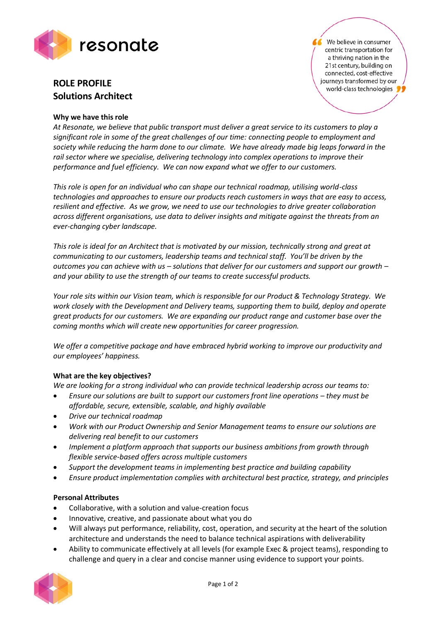

# **ROLE PROFILE Solutions Architect**

## **Why we have this role**

We believe in consumer centric transportation for a thriving nation in the 21st century, building on connected, cost-effective journeys transformed by our world-class technologies

*At Resonate, we believe that public transport must deliver a great service to its customers to play a significant role in some of the great challenges of our time: connecting people to employment and society while reducing the harm done to our climate. We have already made big leaps forward in the rail sector where we specialise, delivering technology into complex operations to improve their performance and fuel efficiency. We can now expand what we offer to our customers.*

*This role is open for an individual who can shape our technical roadmap, utilising world-class technologies and approaches to ensure our products reach customers in ways that are easy to access, resilient and effective. As we grow, we need to use our technologies to drive greater collaboration across different organisations, use data to deliver insights and mitigate against the threats from an ever-changing cyber landscape.*

*This role is ideal for an Architect that is motivated by our mission, technically strong and great at communicating to our customers, leadership teams and technical staff. You'll be driven by the outcomes you can achieve with us – solutions that deliver for our customers and support our growth – and your ability to use the strength of our teams to create successful products.*

*Your role sits within our Vision team, which is responsible for our Product & Technology Strategy. We work closely with the Development and Delivery teams, supporting them to build, deploy and operate great products for our customers. We are expanding our product range and customer base over the coming months which will create new opportunities for career progression.*

*We offer a competitive package and have embraced hybrid working to improve our productivity and our employees' happiness.*

## **What are the key objectives?**

*We are looking for a strong individual who can provide technical leadership across our teams to:*

- Ensure our solutions are built to support our customers front line operations they must be *affordable, secure, extensible, scalable, and highly available*
- *Drive our technical roadmap*
- *Work with our Product Ownership and Senior Management teams to ensure our solutions are delivering real benefit to our customers*
- *Implement a platform approach that supports our business ambitions from growth through flexible service-based offers across multiple customers*
- *Support the development teams in implementing best practice and building capability*
- *Ensure product implementation complies with architectural best practice, strategy, and principles*

## **Personal Attributes**

- Collaborative, with a solution and value-creation focus
- Innovative, creative, and passionate about what you do
- Will always put performance, reliability, cost, operation, and security at the heart of the solution architecture and understands the need to balance technical aspirations with deliverability
- Ability to communicate effectively at all levels (for example Exec & project teams), responding to challenge and query in a clear and concise manner using evidence to support your points.